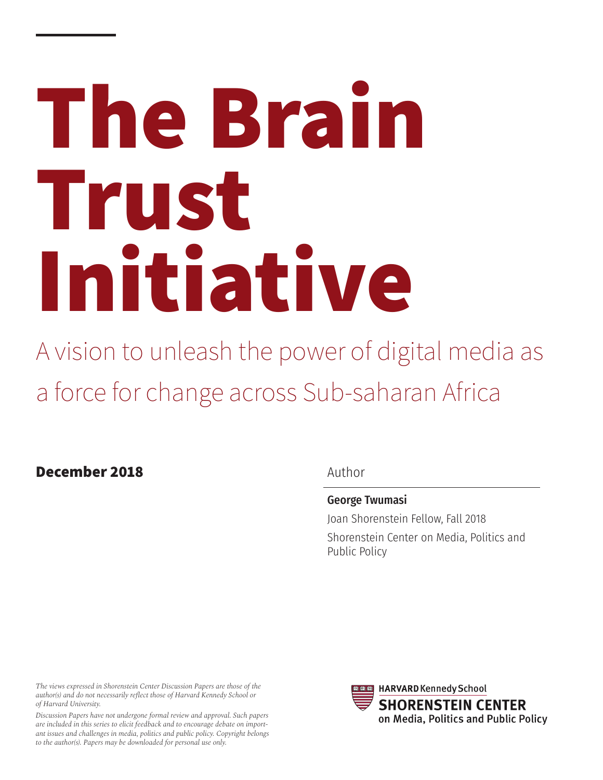# **The Brain Trust Initiative**

A vision to unleash the power of digital media as a force for change across Sub-saharan Africa

## **December 2018**

## Author

## George Twumasi

Joan Shorenstein Fellow, Fall 2018 Shorenstein Center on Media, Politics and Public Policy

*The views expressed in Shorenstein Center Discussion Papers are those of the author(s) and do not necessarily reflect those of Harvard Kennedy School or of Harvard University.*

*Discussion Papers have not undergone formal review and approval. Such papers are included in this series to elicit feedback and to encourage debate on important issues and challenges in media, politics and public policy. Copyright belongs to the author(s). Papers may be downloaded for personal use only.*

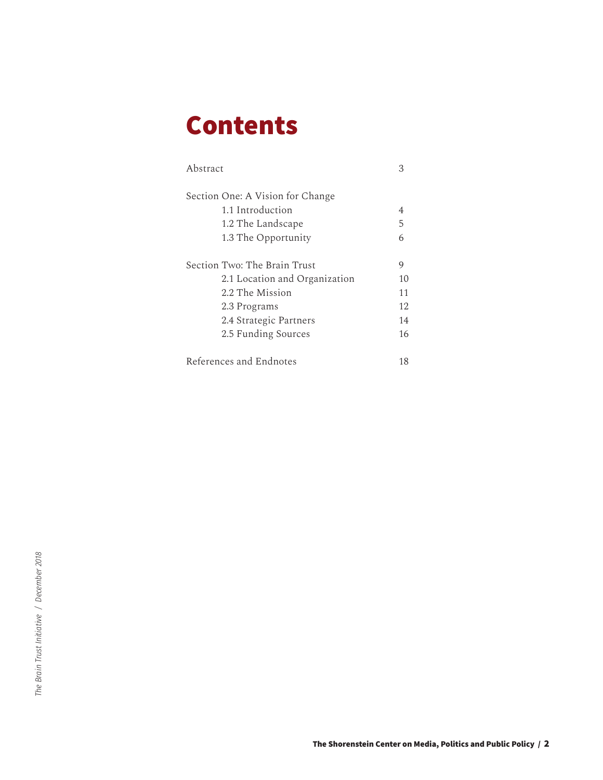# **Contents**

| Abstract                         | 3  |
|----------------------------------|----|
| Section One: A Vision for Change |    |
| 1.1 Introduction                 | 4  |
| 1.2 The Landscape                | 5  |
| 1.3 The Opportunity              | 6  |
| Section Two: The Brain Trust     | 9  |
| 2.1 Location and Organization    | 10 |
| 2.2 The Mission                  | 11 |
| 2.3 Programs                     | 12 |
| 2.4 Strategic Partners           | 14 |
| 2.5 Funding Sources              | 16 |
| References and Endnotes          | 18 |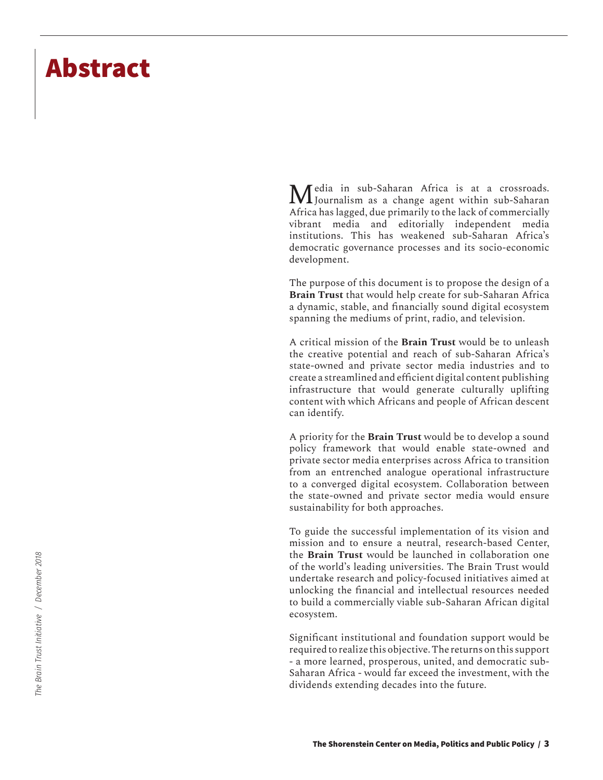## **Abstract**

Media in sub-Saharan Africa is at a crossroads. Journalism as a change agent within sub-Saharan Africa has lagged, due primarily to the lack of commercially vibrant media and editorially independent media institutions. This has weakened sub-Saharan Africa's democratic governance processes and its socio-economic development.

The purpose of this document is to propose the design of a **Brain Trust** that would help create for sub-Saharan Africa a dynamic, stable, and financially sound digital ecosystem spanning the mediums of print, radio, and television.

A critical mission of the **Brain Trust** would be to unleash the creative potential and reach of sub-Saharan Africa's state-owned and private sector media industries and to create a streamlined and efficient digital content publishing infrastructure that would generate culturally uplifting content with which Africans and people of African descent can identify.

A priority for the **Brain Trust** would be to develop a sound policy framework that would enable state-owned and private sector media enterprises across Africa to transition from an entrenched analogue operational infrastructure to a converged digital ecosystem. Collaboration between the state-owned and private sector media would ensure sustainability for both approaches.

To guide the successful implementation of its vision and mission and to ensure a neutral, research-based Center, the **Brain Trust** would be launched in collaboration one of the world's leading universities. The Brain Trust would undertake research and policy-focused initiatives aimed at unlocking the financial and intellectual resources needed to build a commercially viable sub-Saharan African digital ecosystem.

Significant institutional and foundation support would be required to realize this objective. The returns on this support - a more learned, prosperous, united, and democratic sub-Saharan Africa - would far exceed the investment, with the dividends extending decades into the future.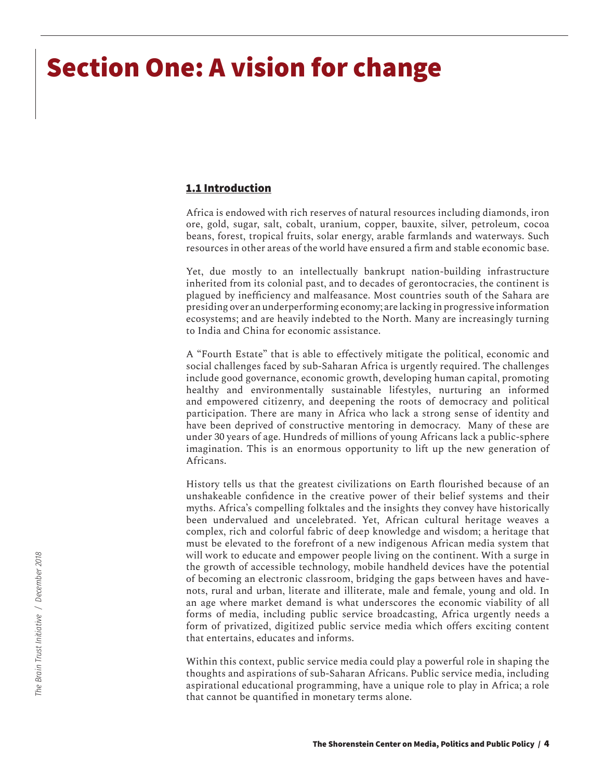# **Section One: A vision for change**

#### **1.1 Introduction**

Africa is endowed with rich reserves of natural resources including diamonds, iron ore, gold, sugar, salt, cobalt, uranium, copper, bauxite, silver, petroleum, cocoa beans, forest, tropical fruits, solar energy, arable farmlands and waterways. Such resources in other areas of the world have ensured a firm and stable economic base.

Yet, due mostly to an intellectually bankrupt nation-building infrastructure inherited from its colonial past, and to decades of gerontocracies, the continent is plagued by inefficiency and malfeasance. Most countries south of the Sahara are presiding over an underperforming economy; are lacking in progressive information ecosystems; and are heavily indebted to the North. Many are increasingly turning to India and China for economic assistance.

A "Fourth Estate" that is able to effectively mitigate the political, economic and social challenges faced by sub-Saharan Africa is urgently required. The challenges include good governance, economic growth, developing human capital, promoting healthy and environmentally sustainable lifestyles, nurturing an informed and empowered citizenry, and deepening the roots of democracy and political participation. There are many in Africa who lack a strong sense of identity and have been deprived of constructive mentoring in democracy. Many of these are under 30 years of age. Hundreds of millions of young Africans lack a public-sphere imagination. This is an enormous opportunity to lift up the new generation of Africans.

History tells us that the greatest civilizations on Earth flourished because of an unshakeable confidence in the creative power of their belief systems and their myths. Africa's compelling folktales and the insights they convey have historically been undervalued and uncelebrated. Yet, African cultural heritage weaves a complex, rich and colorful fabric of deep knowledge and wisdom; a heritage that must be elevated to the forefront of a new indigenous African media system that will work to educate and empower people living on the continent. With a surge in the growth of accessible technology, mobile handheld devices have the potential of becoming an electronic classroom, bridging the gaps between haves and havenots, rural and urban, literate and illiterate, male and female, young and old. In an age where market demand is what underscores the economic viability of all forms of media, including public service broadcasting, Africa urgently needs a form of privatized, digitized public service media which offers exciting content that entertains, educates and informs.

Within this context, public service media could play a powerful role in shaping the thoughts and aspirations of sub-Saharan Africans. Public service media, including aspirational educational programming, have a unique role to play in Africa; a role that cannot be quantified in monetary terms alone.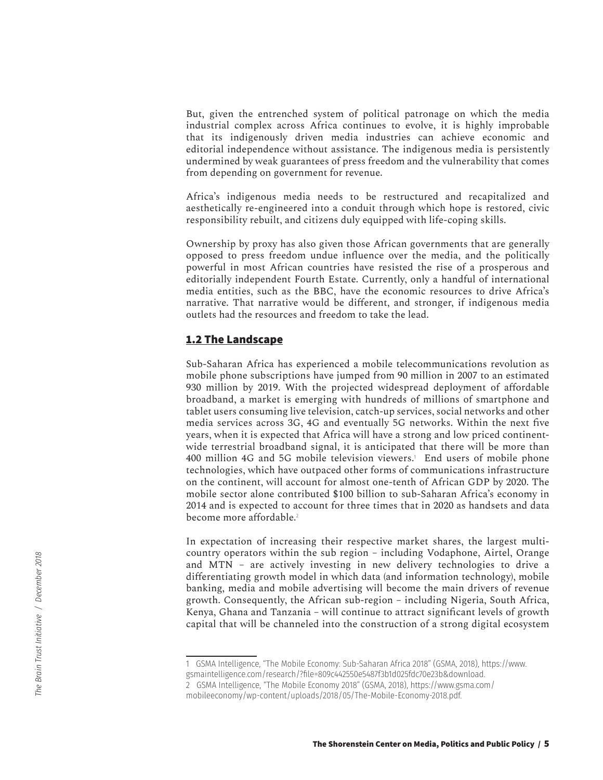But, given the entrenched system of political patronage on which the media industrial complex across Africa continues to evolve, it is highly improbable that its indigenously driven media industries can achieve economic and editorial independence without assistance. The indigenous media is persistently undermined by weak guarantees of press freedom and the vulnerability that comes from depending on government for revenue.

Africa's indigenous media needs to be restructured and recapitalized and aesthetically re-engineered into a conduit through which hope is restored, civic responsibility rebuilt, and citizens duly equipped with life-coping skills.

Ownership by proxy has also given those African governments that are generally opposed to press freedom undue influence over the media, and the politically powerful in most African countries have resisted the rise of a prosperous and editorially independent Fourth Estate. Currently, only a handful of international media entities, such as the BBC, have the economic resources to drive Africa's narrative. That narrative would be different, and stronger, if indigenous media outlets had the resources and freedom to take the lead.

#### **1.2 The Landscape**

Sub-Saharan Africa has experienced a mobile telecommunications revolution as mobile phone subscriptions have jumped from 90 million in 2007 to an estimated 930 million by 2019. With the projected widespread deployment of affordable broadband, a market is emerging with hundreds of millions of smartphone and tablet users consuming live television, catch-up services, social networks and other media services across 3G, 4G and eventually 5G networks. Within the next five years, when it is expected that Africa will have a strong and low priced continentwide terrestrial broadband signal, it is anticipated that there will be more than 400 million 4G and 5G mobile television viewers.<sup>1</sup> End users of mobile phone technologies, which have outpaced other forms of communications infrastructure on the continent, will account for almost one-tenth of African GDP by 2020. The mobile sector alone contributed \$100 billion to sub-Saharan Africa's economy in 2014 and is expected to account for three times that in 2020 as handsets and data become more affordable.<sup>2</sup>

In expectation of increasing their respective market shares, the largest multicountry operators within the sub region – including Vodaphone, Airtel, Orange and MTN – are actively investing in new delivery technologies to drive a differentiating growth model in which data (and information technology), mobile banking, media and mobile advertising will become the main drivers of revenue growth. Consequently, the African sub-region – including Nigeria, South Africa, Kenya, Ghana and Tanzania – will continue to attract significant levels of growth capital that will be channeled into the construction of a strong digital ecosystem

2 GSMA Intelligence, "The Mobile Economy 2018" (GSMA, 2018), https://www.gsma.com/ mobileeconomy/wp-content/uploads/2018/05/The-Mobile-Economy-2018.pdf.

<sup>1</sup> GSMA Intelligence, "The Mobile Economy: Sub-Saharan Africa 2018" (GSMA, 2018), https://www. gsmaintelligence.com/research/?file=809c442550e5487f3b1d025fdc70e23b&download.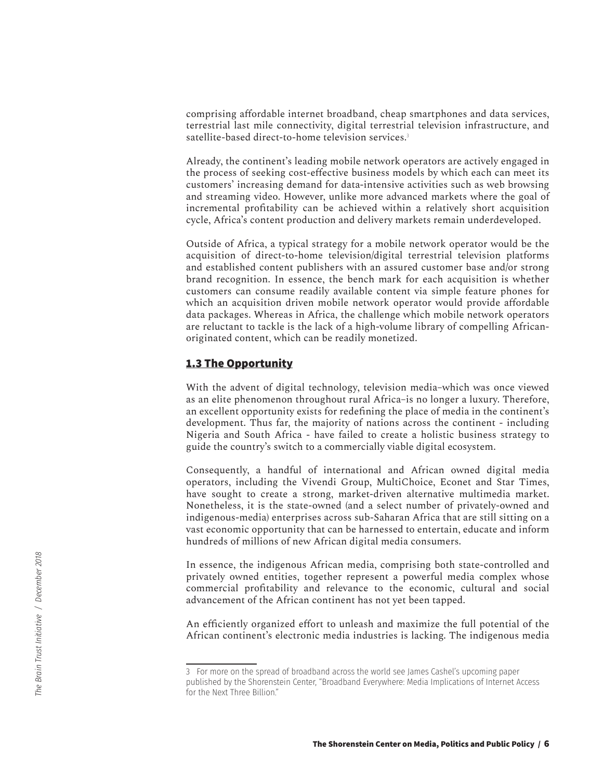comprising affordable internet broadband, cheap smartphones and data services, terrestrial last mile connectivity, digital terrestrial television infrastructure, and satellite-based direct-to-home television services.<sup>3</sup>

Already, the continent's leading mobile network operators are actively engaged in the process of seeking cost-effective business models by which each can meet its customers' increasing demand for data-intensive activities such as web browsing and streaming video. However, unlike more advanced markets where the goal of incremental profitability can be achieved within a relatively short acquisition cycle, Africa's content production and delivery markets remain underdeveloped.

Outside of Africa, a typical strategy for a mobile network operator would be the acquisition of direct-to-home television/digital terrestrial television platforms and established content publishers with an assured customer base and/or strong brand recognition. In essence, the bench mark for each acquisition is whether customers can consume readily available content via simple feature phones for which an acquisition driven mobile network operator would provide affordable data packages. Whereas in Africa, the challenge which mobile network operators are reluctant to tackle is the lack of a high-volume library of compelling Africanoriginated content, which can be readily monetized.

#### **1.3 The Opportunity**

With the advent of digital technology, television media–which was once viewed as an elite phenomenon throughout rural Africa–is no longer a luxury. Therefore, an excellent opportunity exists for redefining the place of media in the continent's development. Thus far, the majority of nations across the continent - including Nigeria and South Africa - have failed to create a holistic business strategy to guide the country's switch to a commercially viable digital ecosystem.

Consequently, a handful of international and African owned digital media operators, including the Vivendi Group, MultiChoice, Econet and Star Times, have sought to create a strong, market-driven alternative multimedia market. Nonetheless, it is the state-owned (and a select number of privately-owned and indigenous-media) enterprises across sub-Saharan Africa that are still sitting on a vast economic opportunity that can be harnessed to entertain, educate and inform hundreds of millions of new African digital media consumers.

In essence, the indigenous African media, comprising both state-controlled and privately owned entities, together represent a powerful media complex whose commercial profitability and relevance to the economic, cultural and social advancement of the African continent has not yet been tapped.

An efficiently organized effort to unleash and maximize the full potential of the African continent's electronic media industries is lacking. The indigenous media

<sup>3</sup> For more on the spread of broadband across the world see James Cashel's upcoming paper published by the Shorenstein Center, "Broadband Everywhere: Media Implications of Internet Access for the Next Three Billion."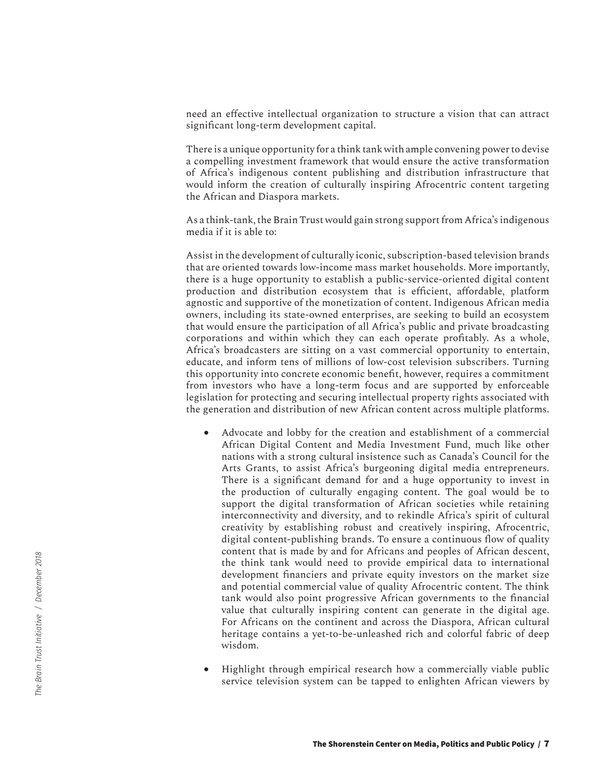need an effective intellectual organization to structure a vision that can attract significant long-term development capital.

There is a unique opportunity for a think tank with ample convening power to devise a compelling investment framework that would ensure the active transformation of Africa's indigenous content publishing and distribution infrastructure that would inform the creation of culturally inspiring Afrocentric content targeting the African and Diaspora markets.

As a think-tank, the Brain Trust would gain strong support from Africa's indigenous media if it is able to:

Assist in the development of culturally iconic, subscription-based television brands that are oriented towards low-income mass market households. More importantly, there is a huge opportunity to establish a public-service-oriented digital content production and distribution ecosystem that is efficient, affordable, platform agnostic and supportive of the monetization of content. Indigenous African media owners, including its state-owned enterprises, are seeking to build an ecosystem that would ensure the participation of all Africa's public and private broadcasting corporations and within which they can each operate profitably. As a whole, Africa's broadcasters are sitting on a vast commercial opportunity to entertain, educate, and inform tens of millions of low-cost television subscribers. Turning this opportunity into concrete economic benefit, however, requires a commitment from investors who have a long-term focus and are supported by enforceable legislation for protecting and securing intellectual property rights associated with the generation and distribution of new African content across multiple platforms.

- Advocate and lobby for the creation and establishment of a commercial African Digital Content and Media Investment Fund, much like other nations with a strong cultural insistence such as Canada's Council for the Arts Grants, to assist Africa's burgeoning digital media entrepreneurs. There is a significant demand for and a huge opportunity to invest in the production of culturally engaging content. The goal would be to support the digital transformation of African societies while retaining interconnectivity and diversity, and to rekindle Africa's spirit of cultural creativity by establishing robust and creatively inspiring, Afrocentric, digital content-publishing brands. To ensure a continuous flow of quality content that is made by and for Africans and peoples of African descent, the think tank would need to provide empirical data to international development financiers and private equity investors on the market size and potential commercial value of quality Afrocentric content. The think tank would also point progressive African governments to the financial value that culturally inspiring content can generate in the digital age. For Africans on the continent and across the Diaspora, African cultural heritage contains a yet-to-be-unleashed rich and colorful fabric of deep wisdom.
- Highlight through empirical research how a commercially viable public service television system can be tapped to enlighten African viewers by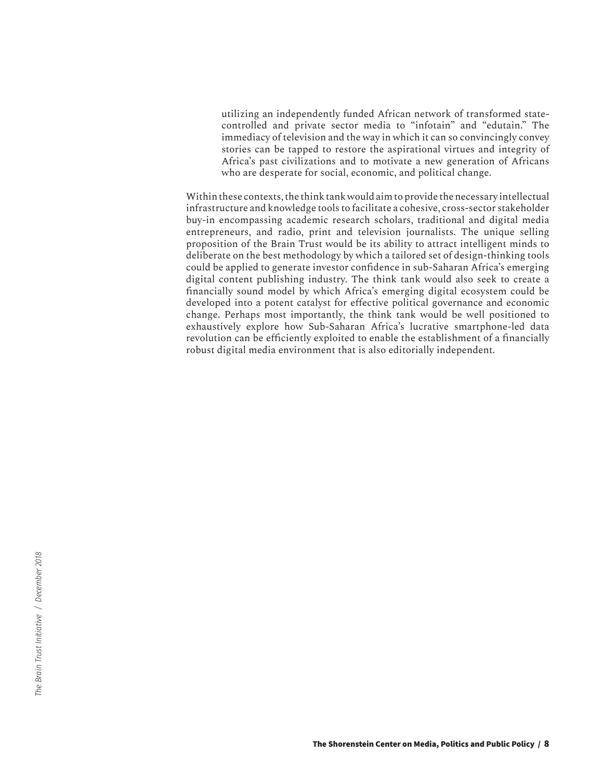utilizing an independently funded African network of transformed statecontrolled and private sector media to "infotain" and "edutain." The immediacy of television and the way in which it can so convincingly convey stories can be tapped to restore the aspirational virtues and integrity of Africa's past civilizations and to motivate a new generation of Africans who are desperate for social, economic, and political change.

Within these contexts, the think tank would aim to provide the necessary intellectual infrastructure and knowledge tools to facilitate a cohesive, cross-sector stakeholder buy-in encompassing academic research scholars, traditional and digital media entrepreneurs, and radio, print and television journalists. The unique selling proposition of the Brain Trust would be its ability to attract intelligent minds to deliberate on the best methodology by which a tailored set of design-thinking tools could be applied to generate investor confidence in sub-Saharan Africa's emerging digital content publishing industry. The think tank would also seek to create a financially sound model by which Africa's emerging digital ecosystem could be developed into a potent catalyst for effective political governance and economic change. Perhaps most importantly, the think tank would be well positioned to exhaustively explore how Sub-Saharan Africa's lucrative smartphone-led data revolution can be efficiently exploited to enable the establishment of a financially robust digital media environment that is also editorially independent.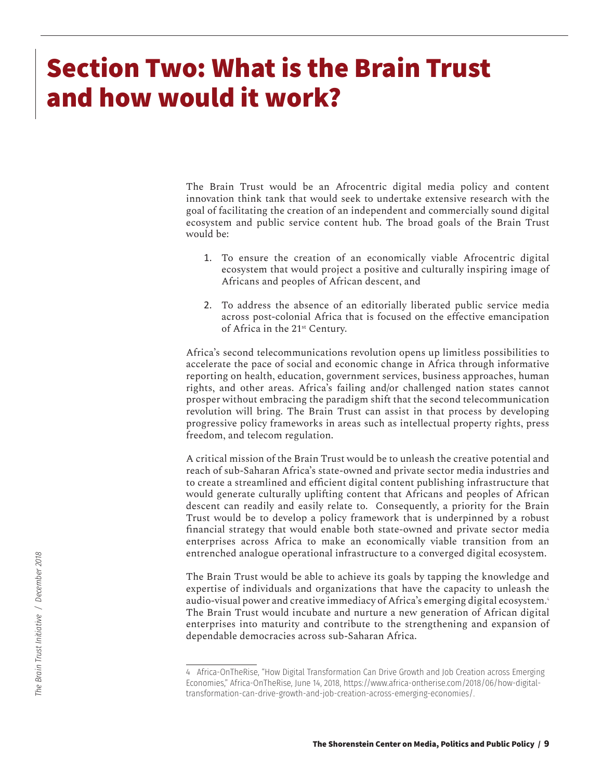# **Section Two: What is the Brain Trust and how would it work?**

The Brain Trust would be an Afrocentric digital media policy and content innovation think tank that would seek to undertake extensive research with the goal of facilitating the creation of an independent and commercially sound digital ecosystem and public service content hub. The broad goals of the Brain Trust would be:

- 1. To ensure the creation of an economically viable Afrocentric digital ecosystem that would project a positive and culturally inspiring image of Africans and peoples of African descent, and
- 2. To address the absence of an editorially liberated public service media across post-colonial Africa that is focused on the effective emancipation of Africa in the 21st Century.

Africa's second telecommunications revolution opens up limitless possibilities to accelerate the pace of social and economic change in Africa through informative reporting on health, education, government services, business approaches, human rights, and other areas. Africa's failing and/or challenged nation states cannot prosper without embracing the paradigm shift that the second telecommunication revolution will bring. The Brain Trust can assist in that process by developing progressive policy frameworks in areas such as intellectual property rights, press freedom, and telecom regulation.

A critical mission of the Brain Trust would be to unleash the creative potential and reach of sub-Saharan Africa's state-owned and private sector media industries and to create a streamlined and efficient digital content publishing infrastructure that would generate culturally uplifting content that Africans and peoples of African descent can readily and easily relate to. Consequently, a priority for the Brain Trust would be to develop a policy framework that is underpinned by a robust financial strategy that would enable both state-owned and private sector media enterprises across Africa to make an economically viable transition from an entrenched analogue operational infrastructure to a converged digital ecosystem.

The Brain Trust would be able to achieve its goals by tapping the knowledge and expertise of individuals and organizations that have the capacity to unleash the audio-visual power and creative immediacy of Africa's emerging digital ecosystem.<sup>4</sup> The Brain Trust would incubate and nurture a new generation of African digital enterprises into maturity and contribute to the strengthening and expansion of dependable democracies across sub-Saharan Africa.

<sup>4</sup> Africa-OnTheRise, "How Digital Transformation Can Drive Growth and Job Creation across Emerging Economies," Africa-OnTheRise, June 14, 2018, https://www.africa-ontherise.com/2018/06/how-digitaltransformation-can-drive-growth-and-job-creation-across-emerging-economies/.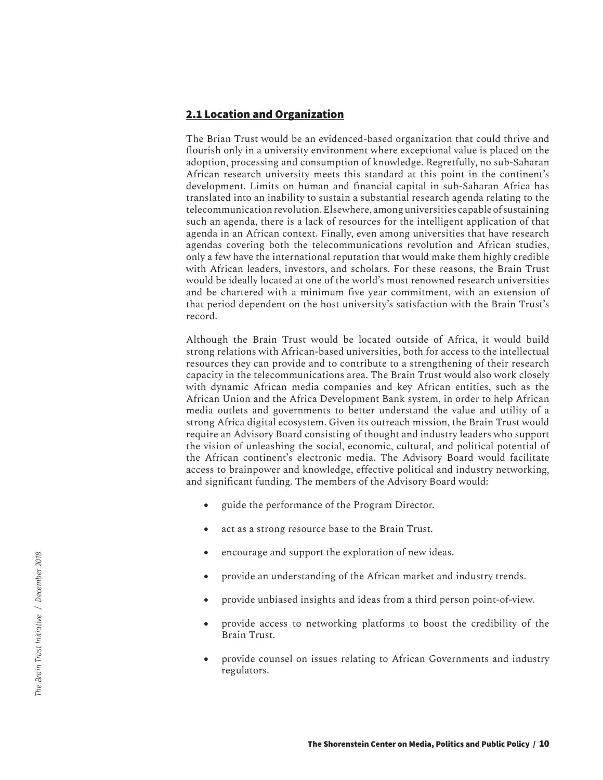#### **2.1 Location and Organization**

The Brian Trust would be an evidenced-based organization that could thrive and flourish only in a university environment where exceptional value is placed on the adoption, processing and consumption of knowledge. Regretfully, no sub-Saharan African research university meets this standard at this point in the continent's development. Limits on human and financial capital in sub-Saharan Africa has translated into an inability to sustain a substantial research agenda relating to the telecommunication revolution. Elsewhere, among universities capable of sustaining such an agenda, there is a lack of resources for the intelligent application of that agenda in an African context. Finally, even among universities that have research agendas covering both the telecommunications revolution and African studies, only a few have the international reputation that would make them highly credible with African leaders, investors, and scholars. For these reasons, the Brain Trust would be ideally located at one of the world's most renowned research universities and be chartered with a minimum five year commitment, with an extension of that period dependent on the host university's satisfaction with the Brain Trust's record.

Although the Brain Trust would be located outside of Africa, it would build strong relations with African-based universities, both for access to the intellectual resources they can provide and to contribute to a strengthening of their research capacity in the telecommunications area. The Brain Trust would also work closely with dynamic African media companies and key African entities, such as the African Union and the Africa Development Bank system, in order to help African media outlets and governments to better understand the value and utility of a strong Africa digital ecosystem. Given its outreach mission, the Brain Trust would require an Advisory Board consisting of thought and industry leaders who support the vision of unleashing the social, economic, cultural, and political potential of the African continent's electronic media. The Advisory Board would facilitate access to brainpower and knowledge, effective political and industry networking, and significant funding. The members of the Advisory Board would:

- guide the performance of the Program Director.
- act as a strong resource base to the Brain Trust.
- encourage and support the exploration of new ideas.
- provide an understanding of the African market and industry trends.
- • provide unbiased insights and ideas from a third person point-of-view.
- provide access to networking platforms to boost the credibility of the Brain Trust.
- provide counsel on issues relating to African Governments and industry regulators.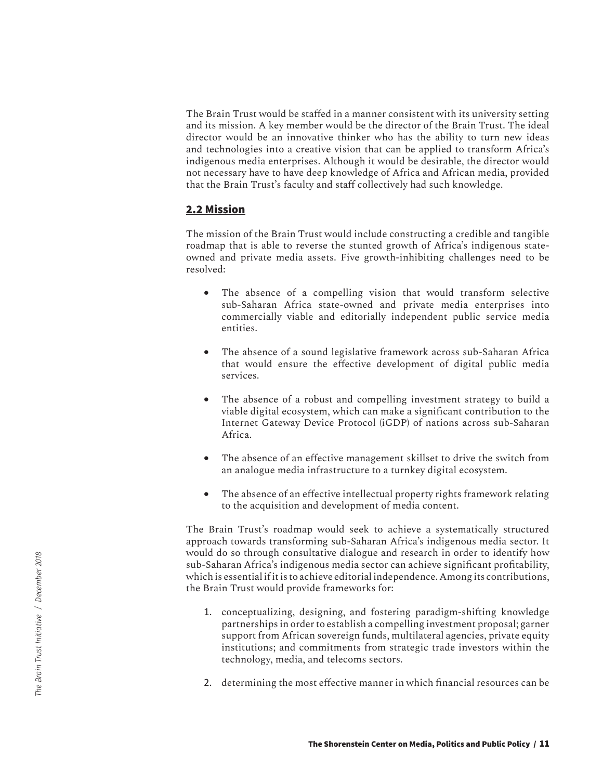The Brain Trust would be staffed in a manner consistent with its university setting and its mission. A key member would be the director of the Brain Trust. The ideal director would be an innovative thinker who has the ability to turn new ideas and technologies into a creative vision that can be applied to transform Africa's indigenous media enterprises. Although it would be desirable, the director would not necessary have to have deep knowledge of Africa and African media, provided that the Brain Trust's faculty and staff collectively had such knowledge.

#### **2.2 Mission**

The mission of the Brain Trust would include constructing a credible and tangible roadmap that is able to reverse the stunted growth of Africa's indigenous stateowned and private media assets. Five growth-inhibiting challenges need to be resolved:

- The absence of a compelling vision that would transform selective sub-Saharan Africa state-owned and private media enterprises into commercially viable and editorially independent public service media entities.
- The absence of a sound legislative framework across sub-Saharan Africa that would ensure the effective development of digital public media services.
- The absence of a robust and compelling investment strategy to build a viable digital ecosystem, which can make a significant contribution to the Internet Gateway Device Protocol (iGDP) of nations across sub-Saharan Africa.
- The absence of an effective management skillset to drive the switch from an analogue media infrastructure to a turnkey digital ecosystem.
- The absence of an effective intellectual property rights framework relating to the acquisition and development of media content.

The Brain Trust's roadmap would seek to achieve a systematically structured approach towards transforming sub-Saharan Africa's indigenous media sector. It would do so through consultative dialogue and research in order to identify how sub-Saharan Africa's indigenous media sector can achieve significant profitability, which is essential if it is to achieve editorial independence. Among its contributions, the Brain Trust would provide frameworks for:

- 1. conceptualizing, designing, and fostering paradigm-shifting knowledge partnerships in order to establish a compelling investment proposal; garner support from African sovereign funds, multilateral agencies, private equity institutions; and commitments from strategic trade investors within the technology, media, and telecoms sectors.
- 2. determining the most effective manner in which financial resources can be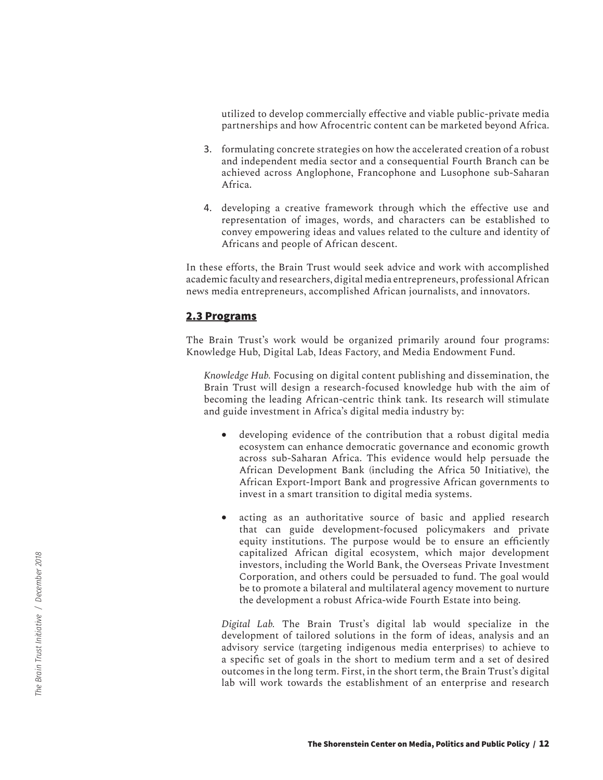utilized to develop commercially effective and viable public-private media partnerships and how Afrocentric content can be marketed beyond Africa.

- 3. formulating concrete strategies on how the accelerated creation of a robust and independent media sector and a consequential Fourth Branch can be achieved across Anglophone, Francophone and Lusophone sub-Saharan Africa.
- 4. developing a creative framework through which the effective use and representation of images, words, and characters can be established to convey empowering ideas and values related to the culture and identity of Africans and people of African descent.

In these efforts, the Brain Trust would seek advice and work with accomplished academic faculty and researchers, digital media entrepreneurs, professional African news media entrepreneurs, accomplished African journalists, and innovators.

#### **2.3 Programs**

The Brain Trust's work would be organized primarily around four programs: Knowledge Hub, Digital Lab, Ideas Factory, and Media Endowment Fund.

*Knowledge Hub.* Focusing on digital content publishing and dissemination, the Brain Trust will design a research-focused knowledge hub with the aim of becoming the leading African-centric think tank. Its research will stimulate and guide investment in Africa's digital media industry by:

- developing evidence of the contribution that a robust digital media ecosystem can enhance democratic governance and economic growth across sub-Saharan Africa. This evidence would help persuade the African Development Bank (including the Africa 50 Initiative), the African Export-Import Bank and progressive African governments to invest in a smart transition to digital media systems.
- acting as an authoritative source of basic and applied research that can guide development-focused policymakers and private equity institutions. The purpose would be to ensure an efficiently capitalized African digital ecosystem, which major development investors, including the World Bank, the Overseas Private Investment Corporation, and others could be persuaded to fund. The goal would be to promote a bilateral and multilateral agency movement to nurture the development a robust Africa-wide Fourth Estate into being.

*Digital Lab.* The Brain Trust's digital lab would specialize in the development of tailored solutions in the form of ideas, analysis and an advisory service (targeting indigenous media enterprises) to achieve to a specific set of goals in the short to medium term and a set of desired outcomes in the long term. First, in the short term, the Brain Trust's digital lab will work towards the establishment of an enterprise and research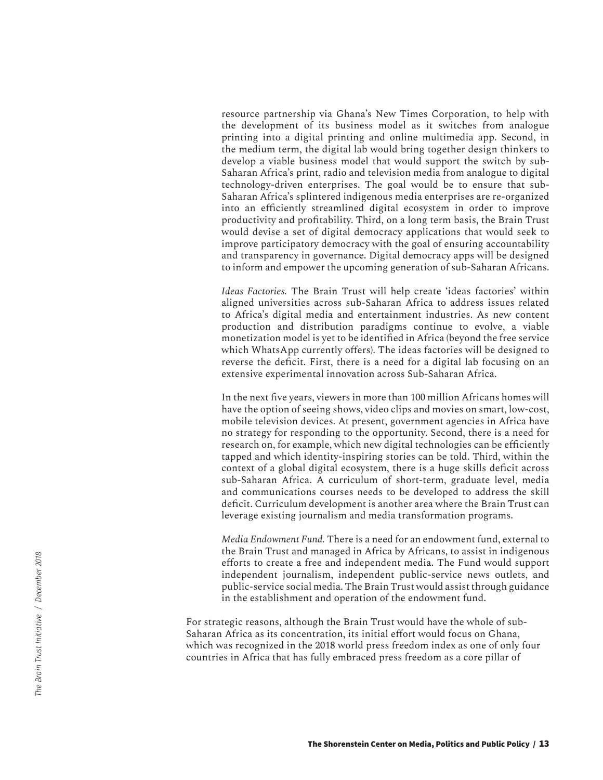resource partnership via Ghana's New Times Corporation, to help with the development of its business model as it switches from analogue printing into a digital printing and online multimedia app. Second, in the medium term, the digital lab would bring together design thinkers to develop a viable business model that would support the switch by sub-Saharan Africa's print, radio and television media from analogue to digital technology-driven enterprises. The goal would be to ensure that sub-Saharan Africa's splintered indigenous media enterprises are re-organized into an efficiently streamlined digital ecosystem in order to improve productivity and profitability. Third, on a long term basis, the Brain Trust would devise a set of digital democracy applications that would seek to improve participatory democracy with the goal of ensuring accountability and transparency in governance. Digital democracy apps will be designed to inform and empower the upcoming generation of sub-Saharan Africans.

*Ideas Factories.* The Brain Trust will help create 'ideas factories' within aligned universities across sub-Saharan Africa to address issues related to Africa's digital media and entertainment industries. As new content production and distribution paradigms continue to evolve, a viable monetization model is yet to be identified in Africa (beyond the free service which WhatsApp currently offers). The ideas factories will be designed to reverse the deficit. First, there is a need for a digital lab focusing on an extensive experimental innovation across Sub-Saharan Africa.

In the next five years, viewers in more than 100 million Africans homes will have the option of seeing shows, video clips and movies on smart, low-cost, mobile television devices. At present, government agencies in Africa have no strategy for responding to the opportunity. Second, there is a need for research on, for example, which new digital technologies can be efficiently tapped and which identity-inspiring stories can be told. Third, within the context of a global digital ecosystem, there is a huge skills deficit across sub-Saharan Africa. A curriculum of short-term, graduate level, media and communications courses needs to be developed to address the skill deficit. Curriculum development is another area where the Brain Trust can leverage existing journalism and media transformation programs.

*Media Endowment Fund.* There is a need for an endowment fund, external to the Brain Trust and managed in Africa by Africans, to assist in indigenous efforts to create a free and independent media. The Fund would support independent journalism, independent public-service news outlets, and public-service social media. The Brain Trust would assist through guidance in the establishment and operation of the endowment fund.

For strategic reasons, although the Brain Trust would have the whole of sub-Saharan Africa as its concentration, its initial effort would focus on Ghana, which was recognized in the 2018 world press freedom index as one of only four countries in Africa that has fully embraced press freedom as a core pillar of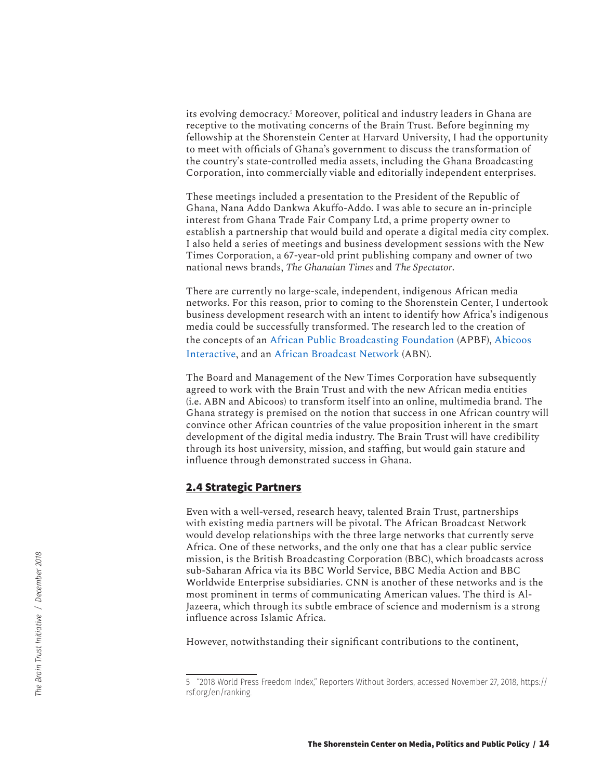its evolving democracy.<sup>5</sup> Moreover, political and industry leaders in Ghana are receptive to the motivating concerns of the Brain Trust. Before beginning my fellowship at the Shorenstein Center at Harvard University, I had the opportunity to meet with officials of Ghana's government to discuss the transformation of the country's state-controlled media assets, including the Ghana Broadcasting Corporation, into commercially viable and editorially independent enterprises.

These meetings included a presentation to the President of the Republic of Ghana, Nana Addo Dankwa Akuffo-Addo. I was able to secure an in-principle interest from Ghana Trade Fair Company Ltd, a prime property owner to establish a partnership that would build and operate a digital media city complex. I also held a series of meetings and business development sessions with the New Times Corporation, a 67-year-old print publishing company and owner of two national news brands, *The Ghanaian Times* and *The Spectator*.

There are currently no large-scale, independent, indigenous African media networks. For this reason, prior to coming to the Shorenstein Center, I undertook business development research with an intent to identify how Africa's indigenous media could be successfully transformed. The research led to the creation of the concepts of an [African Public Broadcasting Foundation](http://www.apbf.tv/) (APBF), [Abicoos](http://www.abicoos.com)  [Interactive,](http://www.abicoos.com) and an [African Broadcast Network](http://www.abnafrica.tv) (ABN).

The Board and Management of the New Times Corporation have subsequently agreed to work with the Brain Trust and with the new African media entities (i.e. ABN and Abicoos) to transform itself into an online, multimedia brand. The Ghana strategy is premised on the notion that success in one African country will convince other African countries of the value proposition inherent in the smart development of the digital media industry. The Brain Trust will have credibility through its host university, mission, and staffing, but would gain stature and influence through demonstrated success in Ghana.

#### **2.4 Strategic Partners**

Even with a well-versed, research heavy, talented Brain Trust, partnerships with existing media partners will be pivotal. The African Broadcast Network would develop relationships with the three large networks that currently serve Africa. One of these networks, and the only one that has a clear public service mission, is the British Broadcasting Corporation (BBC), which broadcasts across sub-Saharan Africa via its BBC World Service, BBC Media Action and BBC Worldwide Enterprise subsidiaries. CNN is another of these networks and is the most prominent in terms of communicating American values. The third is Al-Jazeera, which through its subtle embrace of science and modernism is a strong influence across Islamic Africa.

However, notwithstanding their significant contributions to the continent,

<sup>5 &</sup>quot;2018 World Press Freedom Index," Reporters Without Borders, accessed November 27, 2018, https:// rsf.org/en/ranking.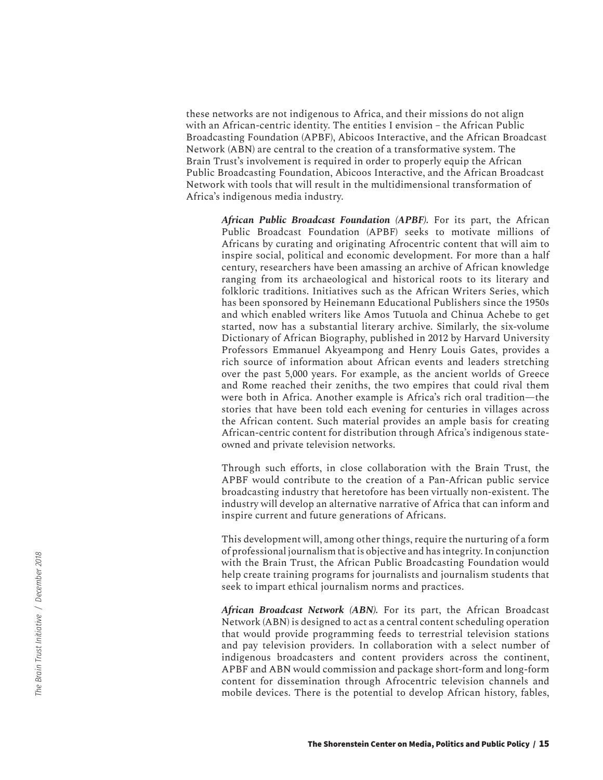these networks are not indigenous to Africa, and their missions do not align with an African-centric identity. The entities I envision – the African Public Broadcasting Foundation (APBF), Abicoos Interactive, and the African Broadcast Network (ABN) are central to the creation of a transformative system. The Brain Trust's involvement is required in order to properly equip the African Public Broadcasting Foundation, Abicoos Interactive, and the African Broadcast Network with tools that will result in the multidimensional transformation of Africa's indigenous media industry.

*African Public Broadcast Foundation (APBF).* For its part, the African Public Broadcast Foundation (APBF) seeks to motivate millions of Africans by curating and originating Afrocentric content that will aim to inspire social, political and economic development. For more than a half century, researchers have been amassing an archive of African knowledge ranging from its archaeological and historical roots to its literary and folkloric traditions. Initiatives such as the African Writers Series, which has been sponsored by Heinemann Educational Publishers since the 1950s and which enabled writers like Amos Tutuola and Chinua Achebe to get started, now has a substantial literary archive. Similarly, the six-volume Dictionary of African Biography, published in 2012 by Harvard University Professors Emmanuel Akyeampong and Henry Louis Gates, provides a rich source of information about African events and leaders stretching over the past 5,000 years. For example, as the ancient worlds of Greece and Rome reached their zeniths, the two empires that could rival them were both in Africa. Another example is Africa's rich oral tradition—the stories that have been told each evening for centuries in villages across the African content. Such material provides an ample basis for creating African-centric content for distribution through Africa's indigenous stateowned and private television networks.

Through such efforts, in close collaboration with the Brain Trust, the APBF would contribute to the creation of a Pan-African public service broadcasting industry that heretofore has been virtually non-existent. The industry will develop an alternative narrative of Africa that can inform and inspire current and future generations of Africans.

This development will, among other things, require the nurturing of a form of professional journalism that is objective and has integrity. In conjunction with the Brain Trust, the African Public Broadcasting Foundation would help create training programs for journalists and journalism students that seek to impart ethical journalism norms and practices.

*African Broadcast Network (ABN).* For its part, the African Broadcast Network (ABN) is designed to act as a central content scheduling operation that would provide programming feeds to terrestrial television stations and pay television providers. In collaboration with a select number of indigenous broadcasters and content providers across the continent, APBF and ABN would commission and package short-form and long-form content for dissemination through Afrocentric television channels and mobile devices. There is the potential to develop African history, fables,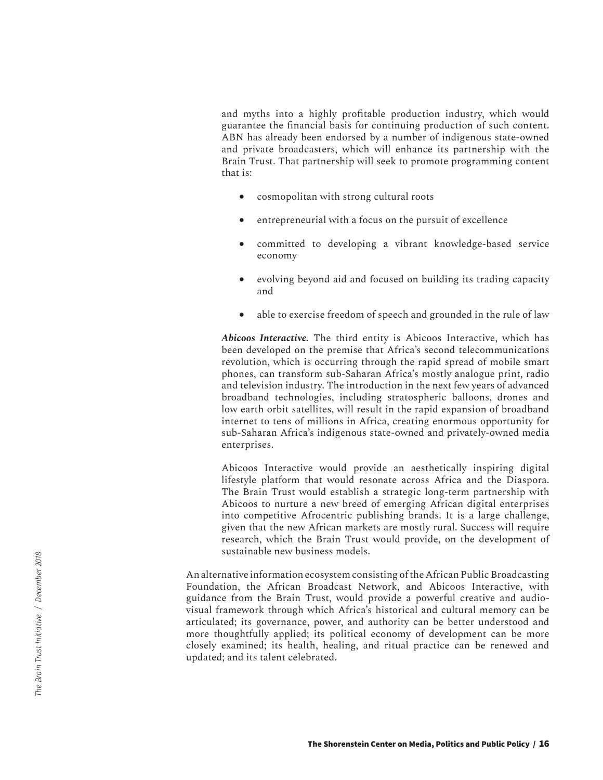and myths into a highly profitable production industry, which would guarantee the financial basis for continuing production of such content. ABN has already been endorsed by a number of indigenous state-owned and private broadcasters, which will enhance its partnership with the Brain Trust. That partnership will seek to promote programming content that is:

- cosmopolitan with strong cultural roots
- entrepreneurial with a focus on the pursuit of excellence
- committed to developing a vibrant knowledge-based service economy
- evolving beyond aid and focused on building its trading capacity and
- able to exercise freedom of speech and grounded in the rule of law

*Abicoos Interactive.* The third entity is Abicoos Interactive, which has been developed on the premise that Africa's second telecommunications revolution, which is occurring through the rapid spread of mobile smart phones, can transform sub-Saharan Africa's mostly analogue print, radio and television industry. The introduction in the next few years of advanced broadband technologies, including stratospheric balloons, drones and low earth orbit satellites, will result in the rapid expansion of broadband internet to tens of millions in Africa, creating enormous opportunity for sub-Saharan Africa's indigenous state-owned and privately-owned media enterprises.

Abicoos Interactive would provide an aesthetically inspiring digital lifestyle platform that would resonate across Africa and the Diaspora. The Brain Trust would establish a strategic long-term partnership with Abicoos to nurture a new breed of emerging African digital enterprises into competitive Afrocentric publishing brands. It is a large challenge, given that the new African markets are mostly rural. Success will require research, which the Brain Trust would provide, on the development of sustainable new business models.

An alternative information ecosystem consisting of the African Public Broadcasting Foundation, the African Broadcast Network, and Abicoos Interactive, with guidance from the Brain Trust, would provide a powerful creative and audiovisual framework through which Africa's historical and cultural memory can be articulated; its governance, power, and authority can be better understood and more thoughtfully applied; its political economy of development can be more closely examined; its health, healing, and ritual practice can be renewed and updated; and its talent celebrated.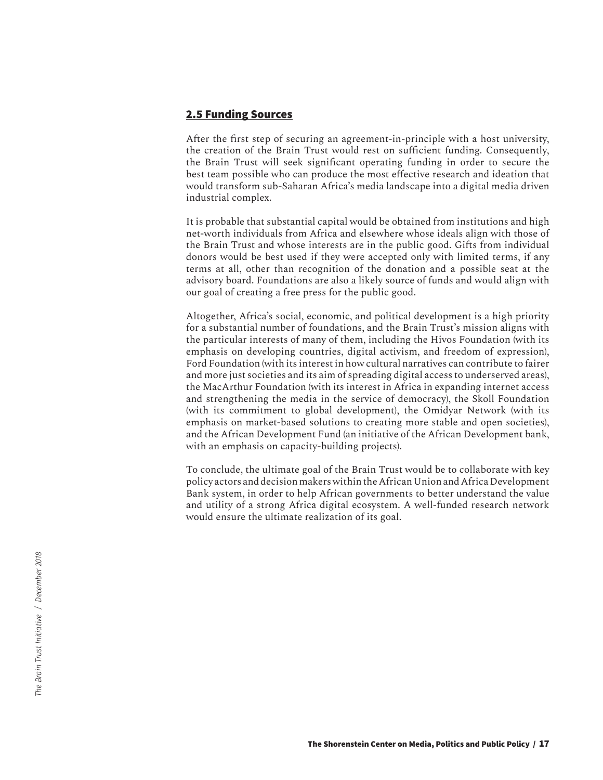#### **2.5 Funding Sources**

After the first step of securing an agreement-in-principle with a host university, the creation of the Brain Trust would rest on sufficient funding. Consequently, the Brain Trust will seek significant operating funding in order to secure the best team possible who can produce the most effective research and ideation that would transform sub-Saharan Africa's media landscape into a digital media driven industrial complex.

It is probable that substantial capital would be obtained from institutions and high net-worth individuals from Africa and elsewhere whose ideals align with those of the Brain Trust and whose interests are in the public good. Gifts from individual donors would be best used if they were accepted only with limited terms, if any terms at all, other than recognition of the donation and a possible seat at the advisory board. Foundations are also a likely source of funds and would align with our goal of creating a free press for the public good.

Altogether, Africa's social, economic, and political development is a high priority for a substantial number of foundations, and the Brain Trust's mission aligns with the particular interests of many of them, including the Hivos Foundation (with its emphasis on developing countries, digital activism, and freedom of expression), Ford Foundation (with its interest in how cultural narratives can contribute to fairer and more just societies and its aim of spreading digital access to underserved areas), the MacArthur Foundation (with its interest in Africa in expanding internet access and strengthening the media in the service of democracy), the Skoll Foundation (with its commitment to global development), the Omidyar Network (with its emphasis on market-based solutions to creating more stable and open societies), and the African Development Fund (an initiative of the African Development bank, with an emphasis on capacity-building projects).

To conclude, the ultimate goal of the Brain Trust would be to collaborate with key policy actors and decision makers within the African Union and Africa Development Bank system, in order to help African governments to better understand the value and utility of a strong Africa digital ecosystem. A well-funded research network would ensure the ultimate realization of its goal.